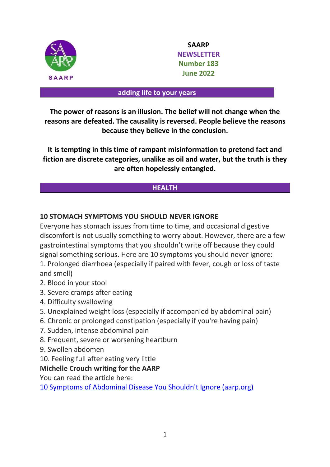

**SAARP NEWSLETTER Number 183 June 2022**

#### **adding life to your years**

**The power of reasons is an illusion. The belief will not change when the reasons are defeated. The causality is reversed. People believe the reasons because they believe in the conclusion.**

**It is tempting in this time of rampant misinformation to pretend fact and fiction are discrete categories, unalike as oil and water, but the truth is they are often hopelessly entangled.**

## **HEALTH**

## **10 STOMACH SYMPTOMS YOU SHOULD NEVER IGNORE**

Everyone has stomach issues from time to time, and occasional digestive discomfort is not usually something to worry about. However, there are a few gastrointestinal symptoms that you shouldn't write off because they could signal something serious. Here are 10 symptoms you should never ignore: 1. Prolonged diarrhoea (especially if paired with fever, cough or loss of taste

and smell)

- 2. Blood in your stool
- 3. Severe cramps after eating
- 4. Difficulty swallowing
- 5. Unexplained weight loss (especially if accompanied by abdominal pain)
- 6. Chronic or prolonged constipation (especially if you're having pain)
- 7. Sudden, intense abdominal pain
- 8. Frequent, severe or worsening heartburn
- 9. Swollen abdomen
- 10. Feeling full after eating very little

#### **Michelle Crouch writing for the AARP**

You can read the article here:

[10 Symptoms of Abdominal Disease You Shouldn't Ignore \(aarp.org\)](https://www.aarp.org/health/conditions-treatments/info-2020/stomach-symptoms.html?cmp=EMC-DSO-NLC-WBLTR---MCTRL-040122-F1-6264971&ET_CID=6264971&ET_RID=1554613&encparam=xRFt%2fR1zIctQhbOyU8zfo6RmN9nevV5HTXunpOObw5U%3d)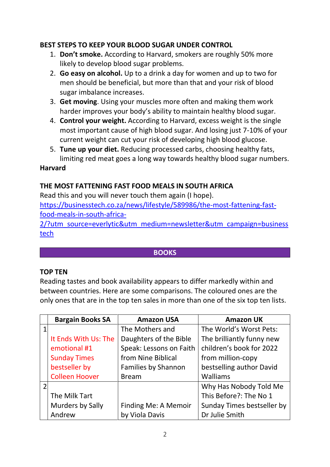# **BEST STEPS TO KEEP YOUR BLOOD SUGAR UNDER CONTROL**

- 1. **Don't smoke.** According to Harvard, smokers are roughly 50% more likely to develop blood sugar problems.
- 2. **Go easy on alcohol.** Up to a drink a day for women and up to two for men should be beneficial, but more than that and your risk of blood sugar imbalance increases.
- 3. **Get moving**. Using your muscles more often and making them work harder improves your body's ability to maintain healthy blood sugar.
- 4. **Control your weight.** According to Harvard, excess weight is the single most important cause of high blood sugar. And losing just 7-10% of your current weight can cut your risk of developing high blood glucose.
- 5. **Tune up your diet.** Reducing processed carbs, choosing healthy fats, limiting red meat goes a long way towards healthy blood sugar numbers.

## **Harvard**

# **THE MOST FATTENING FAST FOOD MEALS IN SOUTH AFRICA**

Read this and you will never touch them again (I hope). [https://businesstech.co.za/news/lifestyle/589986/the-most-fattening-fast](https://businesstech.co.za/news/lifestyle/589986/the-most-fattening-fast-food-meals-in-south-africa-2/?utm_source=everlytic&utm_medium=newsletter&utm_campaign=businesstech)[food-meals-in-south-africa-](https://businesstech.co.za/news/lifestyle/589986/the-most-fattening-fast-food-meals-in-south-africa-2/?utm_source=everlytic&utm_medium=newsletter&utm_campaign=businesstech)[2/?utm\\_source=everlytic&utm\\_medium=newsletter&utm\\_campaign=business](https://businesstech.co.za/news/lifestyle/589986/the-most-fattening-fast-food-meals-in-south-africa-2/?utm_source=everlytic&utm_medium=newsletter&utm_campaign=businesstech)

[tech](https://businesstech.co.za/news/lifestyle/589986/the-most-fattening-fast-food-meals-in-south-africa-2/?utm_source=everlytic&utm_medium=newsletter&utm_campaign=businesstech)

## **BOOKS**

#### **TOP TEN**

Reading tastes and book availability appears to differ markedly within and between countries. Here are some comparisons. The coloured ones are the only ones that are in the top ten sales in more than one of the six top ten lists.

| <b>Bargain Books SA</b> | <b>Amazon USA</b>       | <b>Amazon UK</b>           |
|-------------------------|-------------------------|----------------------------|
|                         | The Mothers and         | The World's Worst Pets:    |
| It Ends With Us: The    | Daughters of the Bible  | The brilliantly funny new  |
| emotional #1            | Speak: Lessons on Faith | children's book for 2022   |
| <b>Sunday Times</b>     | from Nine Biblical      | from million-copy          |
| bestseller by           | Families by Shannon     | bestselling author David   |
| <b>Colleen Hoover</b>   | <b>Bream</b>            | Walliams                   |
|                         |                         | Why Has Nobody Told Me     |
| The Milk Tart           |                         | This Before?: The No 1     |
| <b>Murders by Sally</b> | Finding Me: A Memoir    | Sunday Times bestseller by |
| Andrew                  | by Viola Davis          | Dr Julie Smith             |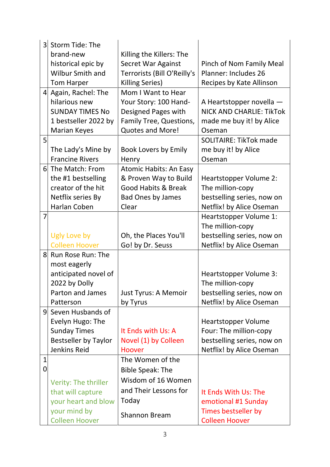| 3 <sup>1</sup>  | Storm Tide: The             |                                |                                 |
|-----------------|-----------------------------|--------------------------------|---------------------------------|
|                 | brand-new                   | Killing the Killers: The       |                                 |
|                 | historical epic by          | <b>Secret War Against</b>      | Pinch of Nom Family Meal        |
|                 | <b>Wilbur Smith and</b>     | Terrorists (Bill O'Reilly's    | <b>Planner: Includes 26</b>     |
|                 | <b>Tom Harper</b>           | Killing Series)                | Recipes by Kate Allinson        |
| $\vert 4 \vert$ | Again, Rachel: The          | Mom I Want to Hear             |                                 |
|                 | hilarious new               | Your Story: 100 Hand-          | A Heartstopper novella -        |
|                 | <b>SUNDAY TIMES No</b>      | Designed Pages with            | <b>NICK AND CHARLIE: TikTok</b> |
|                 | 1 bestseller 2022 by        | Family Tree, Questions,        | made me buy it! by Alice        |
|                 | <b>Marian Keyes</b>         | <b>Quotes and More!</b>        | Oseman                          |
| 5               |                             |                                | <b>SOLITAIRE: TikTok made</b>   |
|                 | The Lady's Mine by          | <b>Book Lovers by Emily</b>    | me buy it! by Alice             |
|                 | <b>Francine Rivers</b>      | Henry                          | Oseman                          |
|                 | 6 The Match: From           | <b>Atomic Habits: An Easy</b>  |                                 |
|                 | the #1 bestselling          | & Proven Way to Build          | Heartstopper Volume 2:          |
|                 | creator of the hit          | <b>Good Habits &amp; Break</b> | The million-copy                |
|                 | Netflix series By           | <b>Bad Ones by James</b>       | bestselling series, now on      |
|                 | Harlan Coben                | Clear                          | Netflix! by Alice Oseman        |
| 7               |                             |                                | Heartstopper Volume 1:          |
|                 |                             |                                | The million-copy                |
|                 | Ugly Love by                | Oh, the Places You'll          | bestselling series, now on      |
|                 | <b>Colleen Hoover</b>       | Go! by Dr. Seuss               | Netflix! by Alice Oseman        |
| 8               | Run Rose Run: The           |                                |                                 |
|                 | most eagerly                |                                |                                 |
|                 | anticipated novel of        |                                | Heartstopper Volume 3:          |
|                 | 2022 by Dolly               |                                | The million-copy                |
|                 | Parton and James            | Just Tyrus: A Memoir           | bestselling series, now on      |
|                 | Patterson                   | by Tyrus                       | Netflix! by Alice Oseman        |
| 9               | Seven Husbands of           |                                |                                 |
|                 | Evelyn Hugo: The            |                                | Heartstopper Volume             |
|                 | <b>Sunday Times</b>         | It Ends with Us: A             | Four: The million-copy          |
|                 | <b>Bestseller by Taylor</b> | Novel (1) by Colleen           | bestselling series, now on      |
|                 | Jenkins Reid                | Hoover                         | Netflix! by Alice Oseman        |
| $\mathbf{1}$    |                             | The Women of the               |                                 |
| 0               |                             | <b>Bible Speak: The</b>        |                                 |
|                 | Verity: The thriller        | Wisdom of 16 Women             |                                 |
|                 | that will capture           | and Their Lessons for          | It Ends With Us: The            |
|                 | your heart and blow         | Today                          | emotional #1 Sunday             |
|                 | your mind by                | <b>Shannon Bream</b>           | Times bestseller by             |
|                 | <b>Colleen Hoover</b>       |                                | <b>Colleen Hoover</b>           |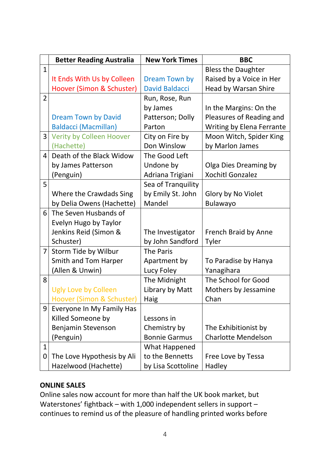|                | <b>Better Reading Australia</b> | <b>New York Times</b> | <b>BBC</b>                 |
|----------------|---------------------------------|-----------------------|----------------------------|
| $\mathbf{1}$   |                                 |                       | <b>Bless the Daughter</b>  |
|                | It Ends With Us by Colleen      | <b>Dream Town by</b>  | Raised by a Voice in Her   |
|                | Hoover (Simon & Schuster)       | <b>David Baldacci</b> | Head by Warsan Shire       |
| $\overline{2}$ |                                 | Run, Rose, Run        |                            |
|                |                                 | by James              | In the Margins: On the     |
|                | <b>Dream Town by David</b>      | Patterson; Dolly      | Pleasures of Reading and   |
|                | <b>Baldacci (Macmillan)</b>     | Parton                | Writing by Elena Ferrante  |
| 3              | Verity by Colleen Hoover        | City on Fire by       | Moon Witch, Spider King    |
|                | (Hachette)                      | Don Winslow           | by Marlon James            |
| 4              | Death of the Black Widow        | The Good Left         |                            |
|                | by James Patterson              | Undone by             | Olga Dies Dreaming by      |
|                | (Penguin)                       | Adriana Trigiani      | <b>Xochitl Gonzalez</b>    |
| 5              |                                 | Sea of Tranquility    |                            |
|                | Where the Crawdads Sing         | by Emily St. John     | Glory by No Violet         |
|                | by Delia Owens (Hachette)       | Mandel                | <b>Bulawayo</b>            |
| 6              | The Seven Husbands of           |                       |                            |
|                | Evelyn Hugo by Taylor           |                       |                            |
|                | Jenkins Reid (Simon &           | The Investigator      | French Braid by Anne       |
|                | Schuster)                       | by John Sandford      | Tyler                      |
| 7 <sup>1</sup> | Storm Tide by Wilbur            | The Paris             |                            |
|                | Smith and Tom Harper            | Apartment by          | To Paradise by Hanya       |
|                | (Allen & Unwin)                 | Lucy Foley            | Yanagihara                 |
| 8              |                                 | The Midnight          | The School for Good        |
|                | <b>Ugly Love by Colleen</b>     | Library by Matt       | Mothers by Jessamine       |
|                | Hoover (Simon & Schuster)       | Haig                  | Chan                       |
| 9              | Everyone In My Family Has       |                       |                            |
|                | Killed Someone by               | Lessons in            |                            |
|                | Benjamin Stevenson              | Chemistry by          | The Exhibitionist by       |
|                | (Penguin)                       | <b>Bonnie Garmus</b>  | <b>Charlotte Mendelson</b> |
| $\mathbf{1}$   |                                 | What Happened         |                            |
| 0              | The Love Hypothesis by Ali      | to the Bennetts       | Free Love by Tessa         |
|                | Hazelwood (Hachette)            | by Lisa Scottoline    | Hadley                     |

# **ONLINE SALES**

Online sales now account for more than half the UK book market, but Waterstones' fightback – with 1,000 independent sellers in support – continues to remind us of the pleasure of handling printed works before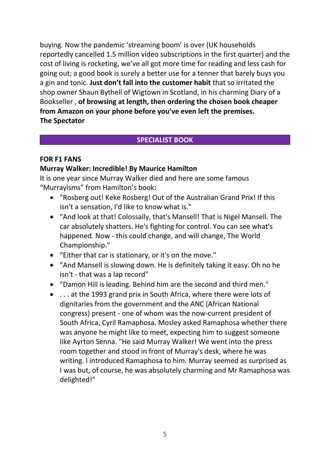buying. Now the pandemic 'streaming boom' is over (UK households reportedly cancelled 1.5 million video subscriptions in the first quarter) and the cost of living is rocketing, we've all got more time for reading and less cash for going out; a good book is surely a better use for a tenner that barely buys you a gin and tonic. **Just don't fall into the customer habit** that so irritated the shop owner Shaun Bythell of Wigtown in Scotland, in his charming Diary of a Bookseller , **of browsing at length, then ordering the chosen book cheaper from Amazon on your phone before you've even left the premises. The Spectator**

## **SPECIALIST BOOK**

## **FOR F1 FANS**

## **Murray Walker: Incredible! By [Maurice Hamilton](https://www.amazon.com/Maurice-Hamilton/e/B000APG2RA/ref=dp_byline_cont_book_1)**

It is one year since Murray Walker died and here are some famous "Murrayisms" from Hamilton's book:

- "Rosberg out! Keke Rosberg! Out of the Australian Grand Prix! If this isn't a sensation, I'd like to know what is."
- "And look at that! Colossally, that's Mansell! That is Nigel Mansell. The car absolutely shatters. He's fighting for control. You can see what's happened. Now - this could change, and will change, The World Championship."
- "Either that car is stationary, or it's on the move."
- "And Mansell is slowing down. He is definitely taking it easy. Oh no he isn't - that was a lap record"
- "Damon Hill is leading. Behind him are the second and third men."
- . . . at the 1993 grand prix in South Africa, where there were lots of dignitaries from the government and the ANC (African National congress) present - one of whom was the now-current president of South Africa, Cyril Ramaphosa. Mosley asked Ramaphosa whether there was anyone he might like to meet, expecting him to suggest someone like Ayrton Senna. "He said Murray Walker! We went into the press room together and stood in front of Murray's desk, where he was writing. I introduced Ramaphosa to him. Murray seemed as surprised as I was but, of course, he was absolutely charming and Mr Ramaphosa was delighted!"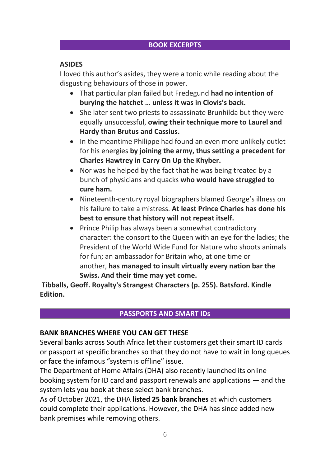# **BOOK EXCERPTS**

# **ASIDES**

I loved this author's asides, they were a tonic while reading about the disgusting behaviours of those in power.

- That particular plan failed but Fredegund **had no intention of burying the hatchet … unless it was in Clovis's back.**
- She later sent two priests to assassinate Brunhilda but they were equally unsuccessful, **owing their technique more to Laurel and Hardy than Brutus and Cassius.**
- In the meantime Philippe had found an even more unlikely outlet for his energies **by joining the army, thus setting a precedent for Charles Hawtrey in Carry On Up the Khyber.**
- Nor was he helped by the fact that he was being treated by a bunch of physicians and quacks **who would have struggled to cure ham.**
- Nineteenth-century royal biographers blamed George's illness on his failure to take a mistress. **At least Prince Charles has done his best to ensure that history will not repeat itself.**
- Prince Philip has always been a somewhat contradictory character: the consort to the Queen with an eye for the ladies; the President of the World Wide Fund for Nature who shoots animals for fun; an ambassador for Britain who, at one time or another, **has managed to insult virtually every nation bar the Swiss. And their time may yet come.**

**Tibballs, Geoff. Royalty's Strangest Characters (p. 255). Batsford. Kindle Edition.**

## **PASSPORTS AND SMART IDs**

## **BANK BRANCHES WHERE YOU CAN GET THESE**

Several banks across South Africa let their customers get their smart ID cards or passport at specific branches so that they do not have to wait in long queues or face the infamous "system is offline" issue.

The Department of Home Affairs (DHA) also recently launched its online booking system for ID card and passport renewals and applications — and the system lets you book at these select bank branches.

As of October 2021, the DHA **[listed 25 bank branches](https://mybroadband.co.za/news/banking/419028-all-the-bank-branches-where-you-can-get-your-smart-id-or-passport.html)** at which customers could complete their applications. However, the DHA has since added new bank premises while removing others.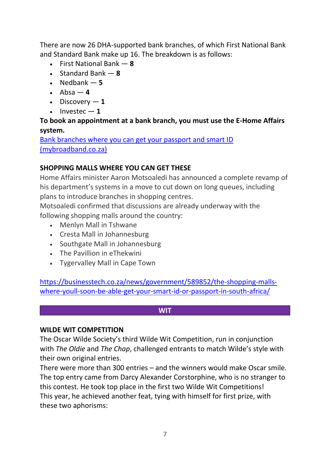There are now 26 DHA-supported bank branches, of which First National Bank and Standard Bank make up 16. The breakdown is as follows:

- First National Bank **8**
- Standard Bank **8**
- $\bullet$  Nedbank  $-5$
- Absa **4**
- Discovery **1**
- $\bullet$  Investec  $-1$

# **To book an appointment at a bank branch, you must use the E-Home Affairs system.**

[Bank branches where you can get your passport and smart ID](https://mybroadband.co.za/news/banking/443686-bank-branches-where-you-can-get-your-passport-or-smart-id.html?utm_source=newsletter)  [\(mybroadband.co.za\)](https://mybroadband.co.za/news/banking/443686-bank-branches-where-you-can-get-your-passport-or-smart-id.html?utm_source=newsletter)

# **SHOPPING MALLS WHERE YOU CAN GET THESE**

Home Affairs minister Aaron Motsoaledi has announced a complete revamp of his department's systems in a move to cut down on long queues, including plans to introduce branches in shopping centres.

Motsoaledi confirmed that discussions are already underway with the following shopping malls around the country:

- Menlyn Mall in Tshwane
- Cresta Mall in Johannesburg
- Southgate Mall in Johannesburg
- The Pavillion in eThekwini
- Tygervalley Mall in Cape Town

[https://businesstech.co.za/news/government/589852/the-shopping-malls](https://businesstech.co.za/news/government/589852/the-shopping-malls-where-youll-soon-be-able-get-your-smart-id-or-passport-in-south-africa/)[where-youll-soon-be-able-get-your-smart-id-or-passport-in-south-africa/](https://businesstech.co.za/news/government/589852/the-shopping-malls-where-youll-soon-be-able-get-your-smart-id-or-passport-in-south-africa/)

#### **WIT**

## **WILDE WIT COMPETITION**

The Oscar Wilde Society's third Wilde Wit Competition, run in conjunction with *The Oldie* and *The Chap*, challenged entrants to match Wilde's style with their own original entries.

There were more than 300 entries – and the winners would make Oscar smile. The top entry came from Darcy Alexander Corstorphine, who is no stranger to this contest. He took top place in the first two Wilde Wit Competitions! This year, he achieved another feat, tying with himself for first prize, with these two aphorisms: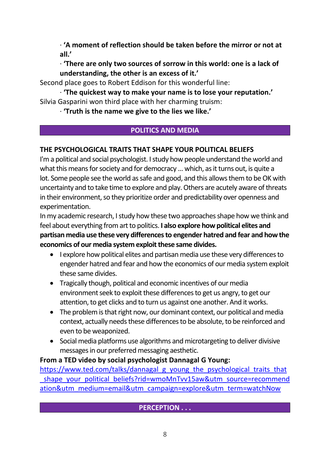· **'A moment of reflection should be taken before the mirror or not at all.'**

· **'There are only two sources of sorrow in this world: one is a lack of understanding, the other is an excess of it.'**

Second place goes to Robert Eddison for this wonderful line:

· **'The quickest way to make your name is to lose your reputation.'** Silvia Gasparini won third place with her charming truism:

· **'Truth is the name we give to the lies we like.'**

# **POLITICS AND MEDIA**

# **THE PSYCHOLOGICAL TRAITS THAT SHAPE YOUR POLITICAL BELIEFS**

I'm a political and social psychologist. I study how people understand the world and what this means for society and for democracy ... which, as it turns out, is quite a lot. Some people see the world as safe and good, and this allows them to be OK with uncertainty and to take time to explore and play. Others are acutely aware of threats in their environment, so they prioritize order and predictability over openness and experimentation.

In my academic research, I study how these two approaches shape how we think and feel about everything from art to politics. **I also explore how political elites and partisan media use these very differencesto engender hatred and fear and how the economics of our media system exploit these same divides.**

- I explore how political elites and partisan media use these very differences to engender hatred and fear and how the economics of our media system exploit these same divides.
- Tragically though, political and economic incentives of our media environment seek to exploit these differences to get us angry, to get our attention, to get clicks and to turn us against one another. And it works.
- The problem is that right now, our dominant context, our political and media context, actually needs these differences to be absolute, to be reinforced and even to be weaponized.
- Social media platforms use algorithms and microtargeting to deliver divisive messages in our preferred messaging aesthetic.

## **From a TED video by social psychologist Dannagal G Young:**

[https://www.ted.com/talks/dannagal\\_g\\_young\\_the\\_psychological\\_traits\\_that](https://www.ted.com/talks/dannagal_g_young_the_psychological_traits_that_shape_your_political_beliefs?rid=wmoMnTvv15aw&utm_source=recommendation&utm_medium=email&utm_campaign=explore&utm_term=watchNow) shape\_your\_political\_beliefs?rid=wmoMnTvv15aw&utm\_source=recommend [ation&utm\\_medium=email&utm\\_campaign=explore&utm\\_term=watchNow](https://www.ted.com/talks/dannagal_g_young_the_psychological_traits_that_shape_your_political_beliefs?rid=wmoMnTvv15aw&utm_source=recommendation&utm_medium=email&utm_campaign=explore&utm_term=watchNow)

# **PERCEPTION . . .**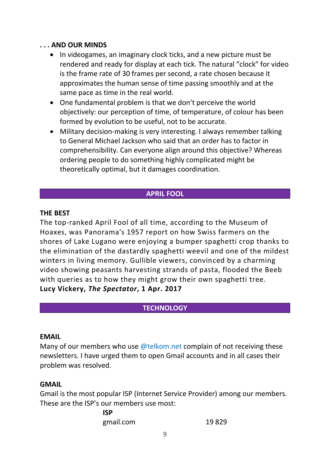## **. . . AND OUR MINDS**

- In videogames, an imaginary clock ticks, and a new picture must be rendered and ready for display at each tick. The natural "clock" for video is the frame rate of 30 frames per second, a rate chosen because it approximates the human sense of time passing smoothly and at the same pace as time in the real world.
- One fundamental problem is that we don't perceive the world objectively: our perception of time, of temperature, of colour has been formed by evolution to be useful, not to be accurate.
- Military decision-making is very interesting. I always remember talking to General Michael Jackson who said that an order has to factor in comprehensibility. Can everyone align around this objective? Whereas ordering people to do something highly complicated might be theoretically optimal, but it damages coordination.

## **APRIL FOOL**

## **THE BEST**

The top-ranked April Fool of all time, according to the Museum of Hoaxes, was Panorama's 1957 report on how Swiss farmers on the shores of Lake Lugano were enjoying a bumper spaghetti crop thanks to the elimination of the dastardly spaghetti weevil and one of the mildest winters in living memory. Gullible viewers, convinced by a charming video showing peasants harvesting strands of pasta, flooded the Beeb with queries as to how they might grow their own spaghetti tree. **Lucy Vickery,** *The Spectator***, 1 Apr. 2017**

# **TECHNOLOGY**

#### **EMAIL**

Many of our members who use  $@$  telkom.net complain of not receiving these newsletters. I have urged them to open Gmail accounts and in all cases their problem was resolved.

#### **GMAIL**

Gmail is the most popular ISP (Internet Service Provider) among our members. These are the ISP's our members use most:

> **ISP**  gmail.com 19 829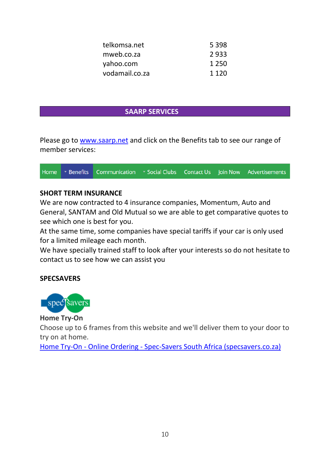| telkomsa.net   | 5 3 9 8 |
|----------------|---------|
| mweb.co.za     | 2933    |
| yahoo.com      | 1 2 5 0 |
| vodamail.co.za | 1 1 2 0 |

#### **SAARP SERVICES**

Please go to [www.saarp.net](http://www.saarp.net/) and click on the Benefits tab to see our range of member services:

|  | Home <b>Theorefits</b> Communication <b>Theoretic Social Clubs</b> Contact Us Join Now Advertisements |  |  |
|--|-------------------------------------------------------------------------------------------------------|--|--|
|  |                                                                                                       |  |  |

## **SHORT TERM INSURANCE**

We are now contracted to 4 insurance companies, Momentum, Auto and General, SANTAM and Old Mutual so we are able to get comparative quotes to see which one is best for you.

At the same time, some companies have special tariffs if your car is only used for a limited mileage each month.

We have specially trained staff to look after your interests so do not hesitate to contact us to see how we can assist you

## **SPECSAVERS**



**Home Try-On**

Choose up to 6 frames from this website and we'll deliver them to your door to try on at home.

Home Try-On - Online Ordering - [Spec-Savers South Africa \(specsavers.co.za\)](https://www.specsavers.co.za/page/online-ordering/home-try-on?gclid=Cj0KCQjw8_qRBhCXARIsAE2AtRYhaH6KCSCH1hQeXCPSAvkyuORPZOFaxdaaq0LJzqbhpaMWbNLpH9saAjGMEALw_wcB)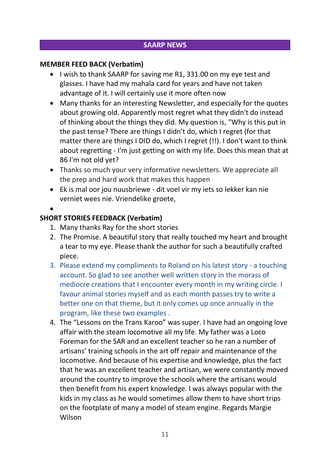# **SAARP NEWS**

## **MEMBER FEED BACK (Verbatim)**

- I wish to thank SAARP for saving me R1, 331.00 on my eye test and glasses. I have had my mahala card for years and have not taken advantage of it. I will certainly use it more often now
- Many thanks for an interesting Newsletter, and especially for the quotes about growing old. Apparently most regret what they didn't do instead of thinking about the things they did. My question is, "Why is this put in the past tense? There are things I didn't do, which I regret (for that matter there are things I DID do, which I regret (!!). I don't want to think about regretting - I'm just getting on with my life. Does this mean that at 86 I'm not old yet?
- Thanks so much your very informative newsletters. We appreciate all the prep and hard work that makes this happen
- Ek is mal oor jou nuusbriewe dit voel vir my iets so lekker kan nie verniet wees nie. Vriendelike groete,
- •

# **SHORT STORIES FEEDBACK (Verbatim)**

- 1. Many thanks Ray for the short stories
- 2. The Promise. A beautiful story that really touched my heart and brought a tear to my eye. Please thank the author for such a beautifully crafted piece.
- 3. Please extend my compliments to Roland on his latest story a touching account. So glad to see another well written story in the morass of mediocre creations that I encounter every month in my writing circle. I favour animal stories myself and as each month passes try to write a better one on that theme, but it only comes up once annually in the program, like these two examples .
- 4. The "Lessons on the Trans Karoo" was super. I have had an ongoing love affair with the steam locomotive all my life. My father was a Loco Foreman for the SAR and an excellent teacher so he ran a number of artisans' training schools in the art off repair and maintenance of the locomotive. And because of his expertise and knowledge, plus the fact that he was an excellent teacher and artisan, we were constantly moved around the country to improve the schools where the artisans would then benefit from his expert knowledge. I was always popular with the kids in my class as he would sometimes allow them to have short trips on the footplate of many a model of steam engine. Regards Margie Wilson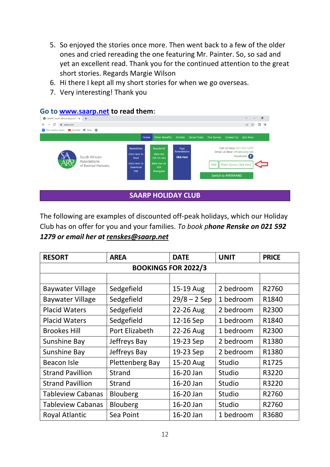- 5. So enjoyed the stories once more. Then went back to a few of the older ones and cried rereading the one featuring Mr. Painter. So, so sad and yet an excellent read. Thank you for the continued attention to the great short stories. Regards Margie Wilson
- 6. Hi there I kept all my short stories for when we go overseas.
- 7. Very interesting! Thank you

# Go to <u>www.saarp.net</u> to read them:



The following are examples of discounted off-peak holidays, which our Holiday Club has on offer for you and your families. *To book phone Renske on 021 592 1279 or email her at [renskes@saarp.net](mailto:renskes@saarp.net)*

| <b>RESORT</b>              | <b>AREA</b>     | <b>DATE</b>    | <b>UNIT</b> | <b>PRICE</b> |  |  |  |
|----------------------------|-----------------|----------------|-------------|--------------|--|--|--|
| <b>BOOKINGS FOR 2022/3</b> |                 |                |             |              |  |  |  |
|                            |                 |                |             |              |  |  |  |
| <b>Baywater Village</b>    | Sedgefield      | 15-19 Aug      | 2 bedroom   | R2760        |  |  |  |
| <b>Baywater Village</b>    | Sedgefield      | $29/8 - 2$ Sep | 1 bedroom   | R1840        |  |  |  |
| <b>Placid Waters</b>       | Sedgefield      | 22-26 Aug      | 2 bedroom   | R2300        |  |  |  |
| <b>Placid Waters</b>       | Sedgefield      | 12-16 Sep      | 1 bedroom   | R1840        |  |  |  |
| <b>Brookes Hill</b>        | Port Elizabeth  | 22-26 Aug      | 1 bedroom   | R2300        |  |  |  |
| Sunshine Bay               | Jeffreys Bay    | 19-23 Sep      | 2 bedroom   | R1380        |  |  |  |
| Sunshine Bay               | Jeffreys Bay    | 19-23 Sep      | 2 bedroom   | R1380        |  |  |  |
| Beacon Isle                | Plettenberg Bay | 15-20 Aug      | Studio      | R1725        |  |  |  |
| <b>Strand Pavillion</b>    | <b>Strand</b>   | 16-20 Jan      | Studio      | R3220        |  |  |  |
| <b>Strand Pavillion</b>    | <b>Strand</b>   | 16-20 Jan      | Studio      | R3220        |  |  |  |
| <b>Tableview Cabanas</b>   | <b>Blouberg</b> | 16-20 Jan      | Studio      | R2760        |  |  |  |
| <b>Tableview Cabanas</b>   | Blouberg        | 16-20 Jan      | Studio      | R2760        |  |  |  |
| Royal Atlantic             | Sea Point       | 16-20 Jan      | 1 bedroom   | R3680        |  |  |  |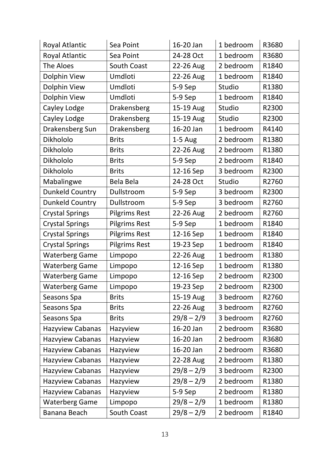| <b>Royal Atlantic</b>   | Sea Point            | 16-20 Jan    | 1 bedroom | R3680 |
|-------------------------|----------------------|--------------|-----------|-------|
| <b>Royal Atlantic</b>   | Sea Point            | 24-28 Oct    | 1 bedroom | R3680 |
| The Aloes               | South Coast          | 22-26 Aug    | 2 bedroom | R1840 |
| Dolphin View            | Umdloti              | 22-26 Aug    | 1 bedroom | R1840 |
| Dolphin View            | Umdloti              | 5-9 Sep      | Studio    | R1380 |
| Dolphin View            | Umdloti              | 5-9 Sep      | 1 bedroom | R1840 |
| Cayley Lodge            | Drakensberg          | 15-19 Aug    | Studio    | R2300 |
| Cayley Lodge            | Drakensberg          | 15-19 Aug    | Studio    | R2300 |
| Drakensberg Sun         | Drakensberg          | 16-20 Jan    | 1 bedroom | R4140 |
| Dikhololo               | <b>Brits</b>         | $1-5$ Aug    | 2 bedroom | R1380 |
| Dikhololo               | <b>Brits</b>         | 22-26 Aug    | 2 bedroom | R1380 |
| Dikhololo               | <b>Brits</b>         | 5-9 Sep      | 2 bedroom | R1840 |
| Dikhololo               | <b>Brits</b>         | 12-16 Sep    | 3 bedroom | R2300 |
| Mabalingwe              | Bela Bela            | 24-28 Oct    | Studio    | R2760 |
| <b>Dunkeld Country</b>  | Dullstroom           | 5-9 Sep      | 3 bedroom | R2300 |
| Dunkeld Country         | Dullstroom           | 5-9 Sep      | 3 bedroom | R2760 |
| <b>Crystal Springs</b>  | <b>Pilgrims Rest</b> | 22-26 Aug    | 2 bedroom | R2760 |
| <b>Crystal Springs</b>  | <b>Pilgrims Rest</b> | 5-9 Sep      | 1 bedroom | R1840 |
| <b>Crystal Springs</b>  | <b>Pilgrims Rest</b> | 12-16 Sep    | 1 bedroom | R1840 |
| <b>Crystal Springs</b>  | <b>Pilgrims Rest</b> | 19-23 Sep    | 1 bedroom | R1840 |
| <b>Waterberg Game</b>   | Limpopo              | 22-26 Aug    | 1 bedroom | R1380 |
| <b>Waterberg Game</b>   | Limpopo              | 12-16 Sep    | 1 bedroom | R1380 |
| <b>Waterberg Game</b>   | Limpopo              | 12-16 Sep    | 2 bedroom | R2300 |
| <b>Waterberg Game</b>   | Limpopo              | 19-23 Sep    | 2 bedroom | R2300 |
| Seasons Spa             | <b>Brits</b>         | 15-19 Aug    | 3 bedroom | R2760 |
| Seasons Spa             | <b>Brits</b>         | 22-26 Aug    | 3 bedroom | R2760 |
| Seasons Spa             | <b>Brits</b>         | $29/8 - 2/9$ | 3 bedroom | R2760 |
| Hazyview Cabanas        | Hazyview             | 16-20 Jan    | 2 bedroom | R3680 |
| Hazvyiew Cabanas        | Hazyview             | 16-20 Jan    | 2 bedroom | R3680 |
| Hazyview Cabanas        | Hazyview             | 16-20 Jan    | 2 bedroom | R3680 |
| <b>Hazyview Cabanas</b> | Hazyview             | 22-28 Aug    | 2 bedroom | R1380 |
| Hazyview Cabanas        | Hazyview             | $29/8 - 2/9$ | 3 bedroom | R2300 |
| <b>Hazyview Cabanas</b> | Hazyview             | $29/8 - 2/9$ | 2 bedroom | R1380 |
| <b>Hazyview Cabanas</b> | Hazyview             | 5-9 Sep      | 2 bedroom | R1380 |
| <b>Waterberg Game</b>   | Limpopo              | $29/8 - 2/9$ | 1 bedroom | R1380 |
| Banana Beach            | South Coast          | $29/8 - 2/9$ | 2 bedroom | R1840 |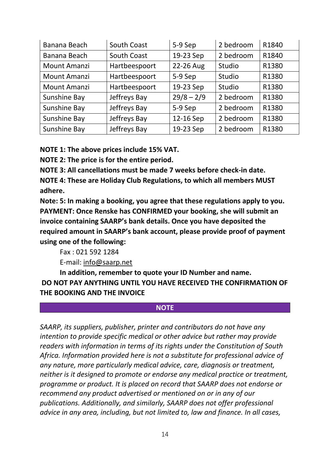| Banana Beach        | South Coast        | 5-9 Sep      | 2 bedroom | R1840 |
|---------------------|--------------------|--------------|-----------|-------|
| Banana Beach        | <b>South Coast</b> | 19-23 Sep    | 2 bedroom | R1840 |
| Mount Amanzi        | Hartbeespoort      | 22-26 Aug    | Studio    | R1380 |
| <b>Mount Amanzi</b> | Hartbeespoort      | 5-9 Sep      | Studio    | R1380 |
| Mount Amanzi        | Hartbeespoort      | 19-23 Sep    | Studio    | R1380 |
| Sunshine Bay        | Jeffreys Bay       | $29/8 - 2/9$ | 2 bedroom | R1380 |
| Sunshine Bay        | Jeffreys Bay       | 5-9 Sep      | 2 bedroom | R1380 |
| Sunshine Bay        | Jeffreys Bay       | 12-16 Sep    | 2 bedroom | R1380 |
| Sunshine Bay        | Jeffreys Bay       | 19-23 Sep    | 2 bedroom | R1380 |

**NOTE 1: The above prices include 15% VAT.**

**NOTE 2: The price is for the entire period.**

**NOTE 3: All cancellations must be made 7 weeks before check-in date.**

**NOTE 4: These are Holiday Club Regulations, to which all members MUST adhere.**

**Note: 5: In making a booking, you agree that these regulations apply to you. PAYMENT: Once Renske has CONFIRMED your booking, she will submit an invoice containing SAARP's bank details. Once you have deposited the required amount in SAARP's bank account, please provide proof of payment using one of the following:** 

Fax : 021 592 1284

E-mail: [info@saarp.net](mailto:info@saarp.net)

**In addition, remember to quote your ID Number and name. DO NOT PAY ANYTHING UNTIL YOU HAVE RECEIVED THE CONFIRMATION OF THE BOOKING AND THE INVOICE**

#### **NOTE**

*SAARP, its suppliers, publisher, printer and contributors do not have any intention to provide specific medical or other advice but rather may provide readers with information in terms of its rights under the Constitution of South Africa. Information provided here is not a substitute for professional advice of any nature, more particularly medical advice, care, diagnosis or treatment, neither is it designed to promote or endorse any medical practice or treatment, programme or product. It is placed on record that SAARP does not endorse or recommend any product advertised or mentioned on or in any of our publications. Additionally, and similarly, SAARP does not offer professional advice in any area, including, but not limited to, law and finance. In all cases,*